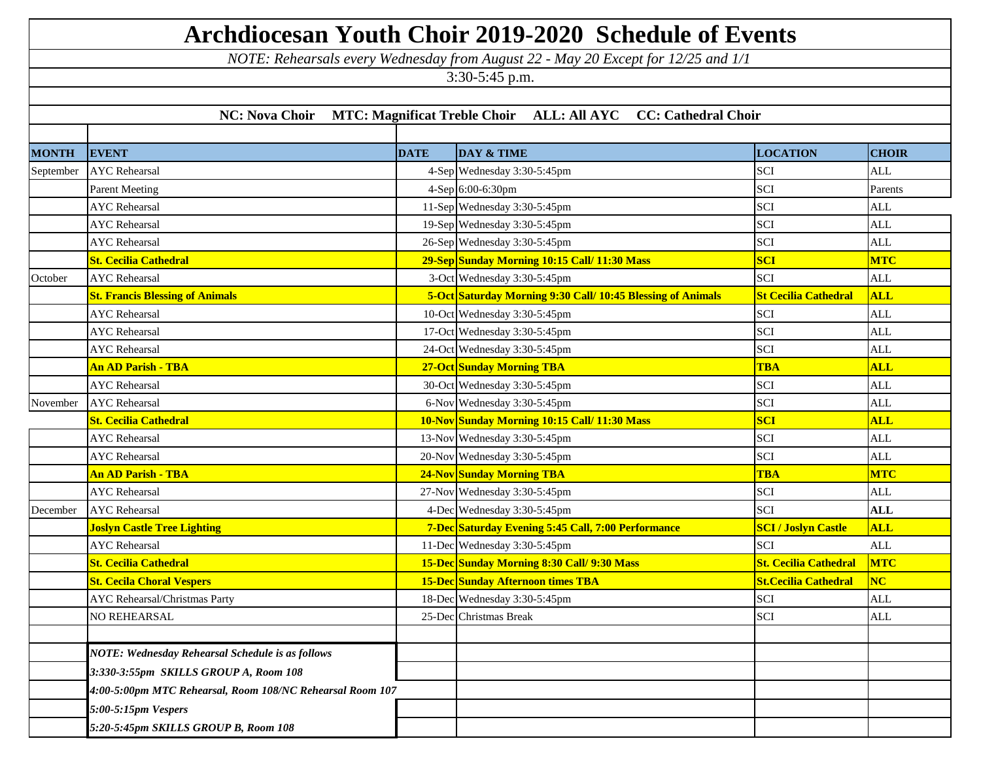| <b>Archdiocesan Youth Choir 2019-2020 Schedule of Events</b>                           |                                                           |             |                                                                                   |                              |              |  |  |  |  |
|----------------------------------------------------------------------------------------|-----------------------------------------------------------|-------------|-----------------------------------------------------------------------------------|------------------------------|--------------|--|--|--|--|
|                                                                                        |                                                           |             | NOTE: Rehearsals every Wednesday from August 22 - May 20 Except for 12/25 and 1/1 |                              |              |  |  |  |  |
|                                                                                        |                                                           |             | 3:30-5:45 p.m.                                                                    |                              |              |  |  |  |  |
|                                                                                        |                                                           |             |                                                                                   |                              |              |  |  |  |  |
| <b>NC: Nova Choir</b><br>MTC: Magnificat Treble Choir ALL: All AYC CC: Cathedral Choir |                                                           |             |                                                                                   |                              |              |  |  |  |  |
|                                                                                        |                                                           |             |                                                                                   |                              |              |  |  |  |  |
| <b>MONTH</b>                                                                           | <b>EVENT</b>                                              | <b>DATE</b> | DAY & TIME                                                                        | <b>LOCATION</b>              | <b>CHOIR</b> |  |  |  |  |
| September                                                                              | <b>AYC</b> Rehearsal                                      |             | 4-Sep Wednesday 3:30-5:45pm                                                       | SCI                          | <b>ALL</b>   |  |  |  |  |
|                                                                                        | <b>Parent Meeting</b>                                     |             | 4-Sep 6:00-6:30pm                                                                 | SCI                          | Parents      |  |  |  |  |
|                                                                                        | <b>AYC</b> Rehearsal                                      |             | 11-Sep Wednesday 3:30-5:45pm                                                      | <b>SCI</b>                   | <b>ALL</b>   |  |  |  |  |
|                                                                                        | <b>AYC</b> Rehearsal                                      |             | 19-Sep Wednesday 3:30-5:45pm                                                      | SCI                          | <b>ALL</b>   |  |  |  |  |
|                                                                                        | <b>AYC</b> Rehearsal                                      |             | 26-Sep Wednesday 3:30-5:45pm                                                      | <b>SCI</b>                   | <b>ALL</b>   |  |  |  |  |
|                                                                                        | St. Cecilia Cathedral                                     |             | 29-Sep Sunday Morning 10:15 Call/ 11:30 Mass                                      | <b>SCI</b>                   | <b>MTC</b>   |  |  |  |  |
| October                                                                                | <b>AYC</b> Rehearsal                                      |             | 3-Oct Wednesday 3:30-5:45pm                                                       | <b>SCI</b>                   | <b>ALL</b>   |  |  |  |  |
|                                                                                        | <b>St. Francis Blessing of Animals</b>                    |             | 5-Oct Saturday Morning 9:30 Call/ 10:45 Blessing of Animals                       | <b>St Cecilia Cathedral</b>  | <b>ALL</b>   |  |  |  |  |
|                                                                                        | <b>AYC</b> Rehearsal                                      |             | 10-Oct Wednesday 3:30-5:45pm                                                      | SCI                          | <b>ALL</b>   |  |  |  |  |
|                                                                                        | <b>AYC</b> Rehearsal                                      |             | 17-Oct Wednesday 3:30-5:45pm                                                      | <b>SCI</b>                   | <b>ALL</b>   |  |  |  |  |
|                                                                                        | <b>AYC</b> Rehearsal                                      |             | 24-Oct Wednesday 3:30-5:45pm                                                      | SCI                          | <b>ALL</b>   |  |  |  |  |
|                                                                                        | <b>An AD Parish - TBA</b>                                 |             | <b>27-Oct Sunday Morning TBA</b>                                                  | <b>TBA</b>                   | <b>ALL</b>   |  |  |  |  |
|                                                                                        | <b>AYC</b> Rehearsal                                      |             | 30-Oct Wednesday 3:30-5:45pm                                                      | <b>SCI</b>                   | <b>ALL</b>   |  |  |  |  |
| November                                                                               | <b>AYC</b> Rehearsal                                      |             | 6-Nov Wednesday 3:30-5:45pm                                                       | SCI                          | <b>ALL</b>   |  |  |  |  |
|                                                                                        | St. Cecilia Cathedral                                     |             | 10-Nov Sunday Morning 10:15 Call/ 11:30 Mass                                      | <b>SCI</b>                   | <b>ALL</b>   |  |  |  |  |
|                                                                                        | <b>AYC</b> Rehearsal                                      |             | 13-Nov Wednesday 3:30-5:45pm                                                      | <b>SCI</b>                   | <b>ALL</b>   |  |  |  |  |
|                                                                                        | <b>AYC</b> Rehearsal                                      |             | 20-Nov Wednesday 3:30-5:45pm                                                      | SCI                          | <b>ALL</b>   |  |  |  |  |
|                                                                                        | <mark>An AD Parish - TBA</mark>                           |             | <b>24-Nov Sunday Morning TBA</b>                                                  | <b>TBA</b>                   | <b>MTC</b>   |  |  |  |  |
|                                                                                        | <b>AYC</b> Rehearsal                                      |             | 27-Nov Wednesday 3:30-5:45pm                                                      | <b>SCI</b>                   | <b>ALL</b>   |  |  |  |  |
| December                                                                               | <b>AYC</b> Rehearsal                                      |             | 4-Dec Wednesday 3:30-5:45pm                                                       | <b>SCI</b>                   | <b>ALL</b>   |  |  |  |  |
|                                                                                        | <b>Joslyn Castle Tree Lighting</b>                        |             | 7-Dec Saturday Evening 5:45 Call, 7:00 Performance                                | <b>SCI / Joslyn Castle</b>   | <b>ALL</b>   |  |  |  |  |
|                                                                                        | <b>AYC</b> Rehearsal                                      |             | 11-Dec Wednesday 3:30-5:45pm                                                      | SCI                          | ALL          |  |  |  |  |
|                                                                                        | <b>St. Cecilia Cathedral</b>                              |             | 15-Dec Sunday Morning 8:30 Call/ 9:30 Mass                                        | <b>St. Cecilia Cathedral</b> | <b>MTC</b>   |  |  |  |  |
|                                                                                        | <b>St. Cecila Choral Vespers</b>                          |             | <b>15-Dec</b> Sunday Afternoon times TBA                                          | <b>St.Cecilia Cathedral</b>  | NC           |  |  |  |  |
|                                                                                        | <b>AYC</b> Rehearsal/Christmas Party                      |             | 18-Dec Wednesday 3:30-5:45pm                                                      | <b>SCI</b>                   | <b>ALL</b>   |  |  |  |  |
|                                                                                        | NO REHEARSAL                                              |             | 25-Dec Christmas Break                                                            | SCI                          | ALL          |  |  |  |  |
|                                                                                        |                                                           |             |                                                                                   |                              |              |  |  |  |  |
|                                                                                        | <b>NOTE: Wednesday Rehearsal Schedule is as follows</b>   |             |                                                                                   |                              |              |  |  |  |  |
|                                                                                        | 3:330-3:55pm SKILLS GROUP A, Room 108                     |             |                                                                                   |                              |              |  |  |  |  |
|                                                                                        | 4:00-5:00pm MTC Rehearsal, Room 108/NC Rehearsal Room 107 |             |                                                                                   |                              |              |  |  |  |  |
|                                                                                        | 5:00-5:15pm Vespers                                       |             |                                                                                   |                              |              |  |  |  |  |
|                                                                                        | 5:20-5:45pm SKILLS GROUP B, Room 108                      |             |                                                                                   |                              |              |  |  |  |  |